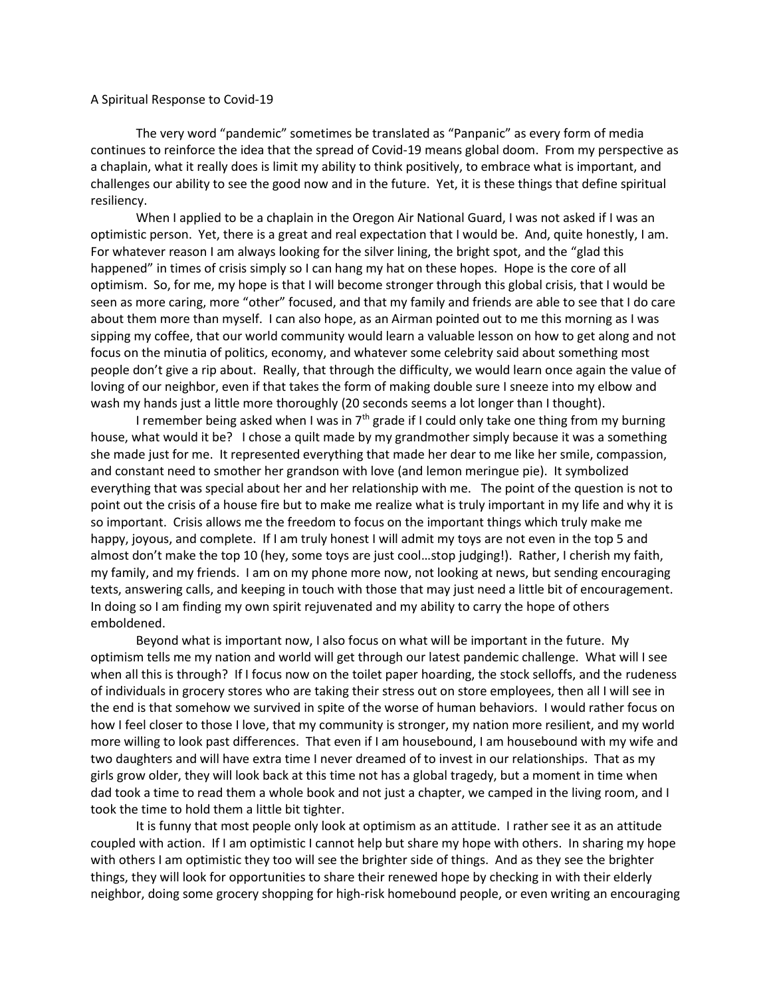## A Spiritual Response to Covid-19

The very word "pandemic" sometimes be translated as "Panpanic" as every form of media continues to reinforce the idea that the spread of Covid-19 means global doom. From my perspective as a chaplain, what it really does is limit my ability to think positively, to embrace what is important, and challenges our ability to see the good now and in the future. Yet, it is these things that define spiritual resiliency.

When I applied to be a chaplain in the Oregon Air National Guard, I was not asked if I was an optimistic person. Yet, there is a great and real expectation that I would be. And, quite honestly, I am. For whatever reason I am always looking for the silver lining, the bright spot, and the "glad this happened" in times of crisis simply so I can hang my hat on these hopes. Hope is the core of all optimism. So, for me, my hope is that I will become stronger through this global crisis, that I would be seen as more caring, more "other" focused, and that my family and friends are able to see that I do care about them more than myself. I can also hope, as an Airman pointed out to me this morning as I was sipping my coffee, that our world community would learn a valuable lesson on how to get along and not focus on the minutia of politics, economy, and whatever some celebrity said about something most people don't give a rip about. Really, that through the difficulty, we would learn once again the value of loving of our neighbor, even if that takes the form of making double sure I sneeze into my elbow and wash my hands just a little more thoroughly (20 seconds seems a lot longer than I thought).

I remember being asked when I was in  $7<sup>th</sup>$  grade if I could only take one thing from my burning house, what would it be? I chose a quilt made by my grandmother simply because it was a something she made just for me. It represented everything that made her dear to me like her smile, compassion, and constant need to smother her grandson with love (and lemon meringue pie). It symbolized everything that was special about her and her relationship with me. The point of the question is not to point out the crisis of a house fire but to make me realize what is truly important in my life and why it is so important. Crisis allows me the freedom to focus on the important things which truly make me happy, joyous, and complete. If I am truly honest I will admit my toys are not even in the top 5 and almost don't make the top 10 (hey, some toys are just cool…stop judging!). Rather, I cherish my faith, my family, and my friends. I am on my phone more now, not looking at news, but sending encouraging texts, answering calls, and keeping in touch with those that may just need a little bit of encouragement. In doing so I am finding my own spirit rejuvenated and my ability to carry the hope of others emboldened.

Beyond what is important now, I also focus on what will be important in the future. My optimism tells me my nation and world will get through our latest pandemic challenge. What will I see when all this is through? If I focus now on the toilet paper hoarding, the stock selloffs, and the rudeness of individuals in grocery stores who are taking their stress out on store employees, then all I will see in the end is that somehow we survived in spite of the worse of human behaviors. I would rather focus on how I feel closer to those I love, that my community is stronger, my nation more resilient, and my world more willing to look past differences. That even if I am housebound, I am housebound with my wife and two daughters and will have extra time I never dreamed of to invest in our relationships. That as my girls grow older, they will look back at this time not has a global tragedy, but a moment in time when dad took a time to read them a whole book and not just a chapter, we camped in the living room, and I took the time to hold them a little bit tighter.

It is funny that most people only look at optimism as an attitude. I rather see it as an attitude coupled with action. If I am optimistic I cannot help but share my hope with others. In sharing my hope with others I am optimistic they too will see the brighter side of things. And as they see the brighter things, they will look for opportunities to share their renewed hope by checking in with their elderly neighbor, doing some grocery shopping for high-risk homebound people, or even writing an encouraging